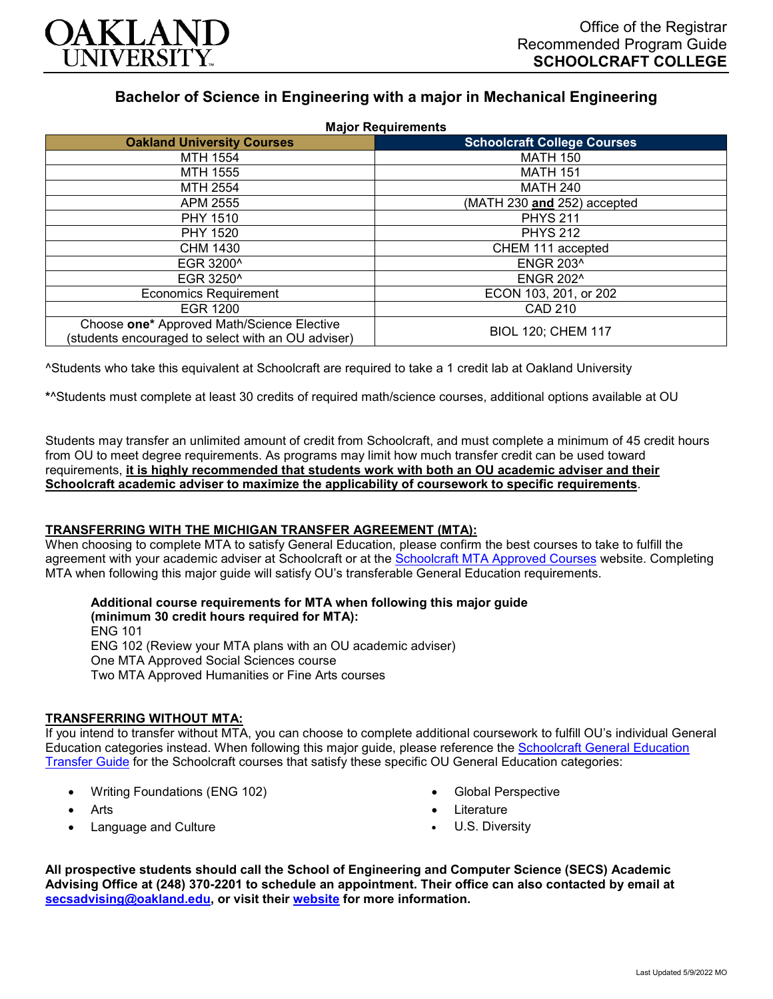

# **Bachelor of Science in Engineering with a major in Mechanical Engineering**

| <b>Major Requirements</b>                                                                        |                                    |
|--------------------------------------------------------------------------------------------------|------------------------------------|
| <b>Oakland University Courses</b>                                                                | <b>Schoolcraft College Courses</b> |
| MTH 1554                                                                                         | <b>MATH 150</b>                    |
| MTH 1555                                                                                         | <b>MATH 151</b>                    |
| MTH 2554                                                                                         | <b>MATH 240</b>                    |
| APM 2555                                                                                         | (MATH 230 and 252) accepted        |
| <b>PHY 1510</b>                                                                                  | <b>PHYS 211</b>                    |
| <b>PHY 1520</b>                                                                                  | <b>PHYS 212</b>                    |
| CHM 1430                                                                                         | CHEM 111 accepted                  |
| EGR 3200^                                                                                        | <b>ENGR 203^</b>                   |
| EGR 3250^                                                                                        | <b>ENGR 202^</b>                   |
| <b>Economics Requirement</b>                                                                     | ECON 103, 201, or 202              |
| <b>EGR 1200</b>                                                                                  | <b>CAD 210</b>                     |
| Choose one* Approved Math/Science Elective<br>(students encouraged to select with an OU adviser) | <b>BIOL 120; CHEM 117</b>          |

^Students who take this equivalent at Schoolcraft are required to take a 1 credit lab at Oakland University

**\***^Students must complete at least 30 credits of required math/science courses, additional options available at OU

Students may transfer an unlimited amount of credit from Schoolcraft, and must complete a minimum of 45 credit hours from OU to meet degree requirements. As programs may limit how much transfer credit can be used toward requirements, **it is highly recommended that students work with both an OU academic adviser and their Schoolcraft academic adviser to maximize the applicability of coursework to specific requirements**.

## **TRANSFERRING WITH THE MICHIGAN TRANSFER AGREEMENT (MTA):**

When choosing to complete MTA to satisfy General Education, please confirm the best courses to take to fulfill the agreement with your academic adviser at Schoolcraft or at the [Schoolcraft MTA Approved Courses](https://www.schoolcraft.edu/academics/michigan-transfer-agreement) website. Completing MTA when following this major guide will satisfy OU's transferable General Education requirements.

**Additional course requirements for MTA when following this major guide (minimum 30 credit hours required for MTA):** ENG 101 ENG 102 (Review your MTA plans with an OU academic adviser) One MTA Approved Social Sciences course Two MTA Approved Humanities or Fine Arts courses

## **TRANSFERRING WITHOUT MTA:**

If you intend to transfer without MTA, you can choose to complete additional coursework to fulfill OU's individual General Education categories instead. When following this major guide, please reference the [Schoolcraft General Education](https://www.oakland.edu/Assets/Oakland/program-guides/schoolcraft-college/university-general-education-requirements/Schoolcraft%20Gen%20Ed.pdf)  [Transfer Guide](https://www.oakland.edu/Assets/Oakland/program-guides/schoolcraft-college/university-general-education-requirements/Schoolcraft%20Gen%20Ed.pdf) for the Schoolcraft courses that satisfy these specific OU General Education categories:

- Writing Foundations (ENG 102)
- **Arts**
- Language and Culture
- Global Perspective
- Literature
- U.S. Diversity

**All prospective students should call the School of Engineering and Computer Science (SECS) Academic Advising Office at (248) 370-2201 to schedule an appointment. Their office can also contacted by email at [secsadvising@oakland.edu,](mailto:secsadvising@oakland.edu) or visit their [website](https://wwwp.oakland.edu/secs/advising/) for more information.**